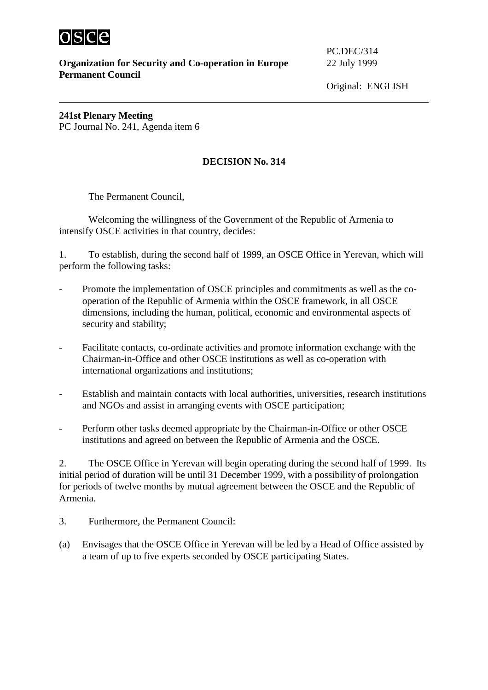

**Organization for Security and Co-operation in Europe** 22 July 1999 **Permanent Council**

PC.DEC/314

**241st Plenary Meeting**  PC Journal No. 241, Agenda item 6

## **DECISION No. 314**

The Permanent Council,

 Welcoming the willingness of the Government of the Republic of Armenia to intensify OSCE activities in that country, decides:

1. To establish, during the second half of 1999, an OSCE Office in Yerevan, which will perform the following tasks:

- Promote the implementation of OSCE principles and commitments as well as the cooperation of the Republic of Armenia within the OSCE framework, in all OSCE dimensions, including the human, political, economic and environmental aspects of security and stability;
- Facilitate contacts, co-ordinate activities and promote information exchange with the Chairman-in-Office and other OSCE institutions as well as co-operation with international organizations and institutions;
- Establish and maintain contacts with local authorities, universities, research institutions and NGOs and assist in arranging events with OSCE participation;
- Perform other tasks deemed appropriate by the Chairman-in-Office or other OSCE institutions and agreed on between the Republic of Armenia and the OSCE.

2. The OSCE Office in Yerevan will begin operating during the second half of 1999. Its initial period of duration will be until 31 December 1999, with a possibility of prolongation for periods of twelve months by mutual agreement between the OSCE and the Republic of Armenia.

- 3. Furthermore, the Permanent Council:
- (a) Envisages that the OSCE Office in Yerevan will be led by a Head of Office assisted by a team of up to five experts seconded by OSCE participating States.